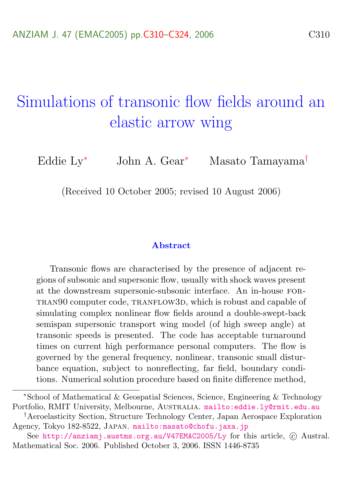# <span id="page-0-0"></span>Simulations of transonic flow fields around an elastic arrow wing

Eddie Ly<sup>∗</sup> John A. Gear<sup>∗</sup> Masato Tamayama†

(Received 10 October 2005; revised 10 August 2006)

#### Abstract

Transonic flows are characterised by the presence of adjacent regions of subsonic and supersonic flow, usually with shock waves present at the downstream supersonic-subsonic interface. An in-house for-TRAN $90$  computer code, TRANFLOW3D, which is robust and capable of simulating complex nonlinear flow fields around a double-swept-back semispan supersonic transport wing model (of high sweep angle) at transonic speeds is presented. The code has acceptable turnaround times on current high performance personal computers. The flow is governed by the general frequency, nonlinear, transonic small disturbance equation, subject to nonreflecting, far field, boundary conditions. Numerical solution procedure based on finite difference method,

<sup>∗</sup>School of Mathematical & Geospatial Sciences, Science, Engineering & Technology Portfolio, RMIT University, Melbourne, Australia. <mailto:eddie.ly@rmit.edu.au>

<sup>†</sup>Aeroelasticity Section, Structure Technology Center, Japan Aerospace Exploration Agency, Tokyo 182-8522, Japan. <mailto:masato@chofu.jaxa.jp>

See <http://anziamj.austms.org.au/V47EMAC2005/Ly> for this article,  $\odot$  Austral. Mathematical Soc. 2006. Published October 3, 2006. ISSN 1446-8735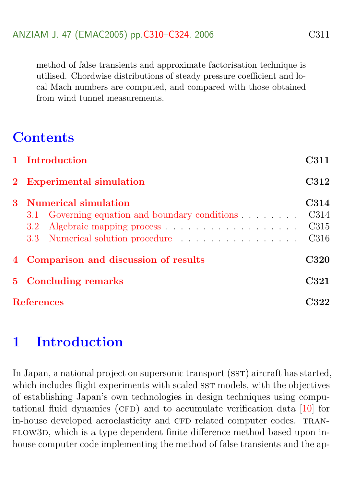<span id="page-1-1"></span>method of false transients and approximate factorisation technique is utilised. Chordwise distributions of steady pressure coefficient and local Mach numbers are computed, and compared with those obtained from wind tunnel measurements.

# **Contents**

|   | 1 Introduction                                                                                    | C311                                     |  |
|---|---------------------------------------------------------------------------------------------------|------------------------------------------|--|
|   | 2 Experimental simulation                                                                         |                                          |  |
| 3 | <b>Numerical simulation</b><br>3.1 Governing equation and boundary conditions<br>3.2 <sub>1</sub> | C314<br>C314<br>C <sub>315</sub><br>C316 |  |
|   | 4 Comparison and discussion of results                                                            |                                          |  |
|   | 5 Concluding remarks                                                                              |                                          |  |
|   | <b>References</b>                                                                                 |                                          |  |

# <span id="page-1-0"></span>1 Introduction

In Japan, a national project on supersonic transport (SST) aircraft has started, which includes flight experiments with scaled SST models, with the objectives of establishing Japan's own technologies in design techniques using computational fluid dynamics (CFD) and to accumulate verification data  $[10]$  for in-house developed aeroelasticity and CFD related computer codes. TRAN-FLOW3D, which is a type dependent finite difference method based upon inhouse computer code implementing the method of false transients and the ap-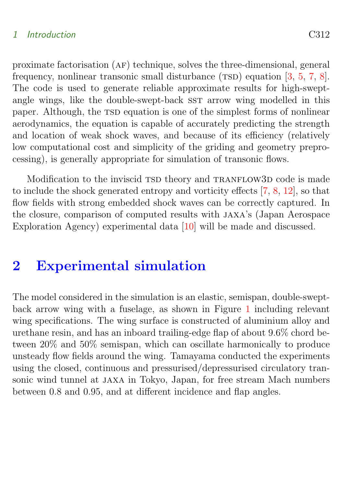#### <span id="page-2-1"></span>1 Introduction C312

proximate factorisation (af) technique, solves the three-dimensional, general frequency, nonlinear transonic small disturbance  $(TSD)$  equation  $[3, 5, 7, 8]$  $[3, 5, 7, 8]$  $[3, 5, 7, 8]$  $[3, 5, 7, 8]$  $[3, 5, 7, 8]$  $[3, 5, 7, 8]$  $[3, 5, 7, 8]$ . The code is used to generate reliable approximate results for high-sweptangle wings, like the double-swept-back sst arrow wing modelled in this paper. Although, the TSD equation is one of the simplest forms of nonlinear aerodynamics, the equation is capable of accurately predicting the strength and location of weak shock waves, and because of its efficiency (relatively low computational cost and simplicity of the griding and geometry preprocessing), is generally appropriate for simulation of transonic flows.

Modification to the inviscid TSD theory and TRANFLOW3D code is made to include the shock generated entropy and vorticity effects [\[7,](#page-13-1) [8,](#page-13-2) [12\]](#page-14-0), so that flow fields with strong embedded shock waves can be correctly captured. In the closure, comparison of computed results with jaxa's (Japan Aerospace Exploration Agency) experimental data [\[10\]](#page-13-0) will be made and discussed.

### <span id="page-2-0"></span>2 Experimental simulation

The model considered in the simulation is an elastic, semispan, double-sweptback arrow wing with a fuselage, as shown in Figure [1](#page-3-0) including relevant wing specifications. The wing surface is constructed of aluminium alloy and urethane resin, and has an inboard trailing-edge flap of about 9.6% chord between 20% and 50% semispan, which can oscillate harmonically to produce unsteady flow fields around the wing. Tamayama conducted the experiments using the closed, continuous and pressurised/depressurised circulatory transonic wind tunnel at jaxa in Tokyo, Japan, for free stream Mach numbers between 0.8 and 0.95, and at different incidence and flap angles.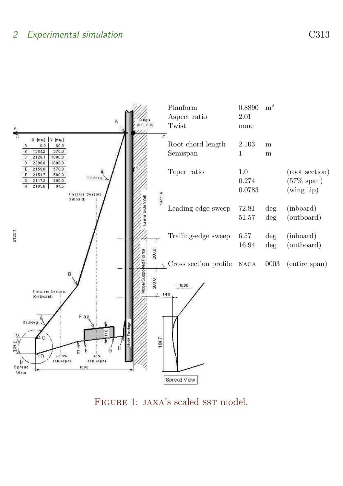

<span id="page-3-0"></span>FIGURE 1: JAXA's scaled SST model.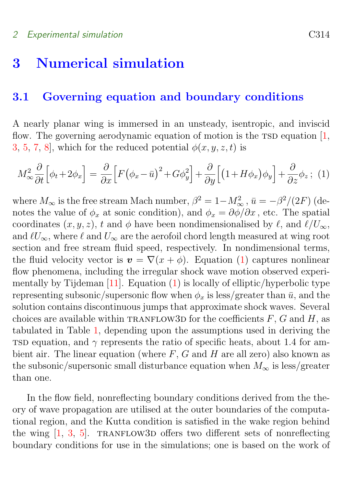#### <span id="page-4-3"></span><span id="page-4-1"></span><span id="page-4-0"></span>3.1 Governing equation and boundary conditions

A nearly planar wing is immersed in an unsteady, isentropic, and inviscid flow. The governing aerodynamic equation of motion is the  $TSD$  equation  $[1, 1]$  $[1, 1]$ [3,](#page-12-1) [5,](#page-12-2) [7,](#page-13-1) 8, which for the reduced potential  $\phi(x, y, z, t)$  is

<span id="page-4-2"></span>
$$
M_{\infty}^{2} \frac{\partial}{\partial t} \Big[ \phi_{t} + 2\phi_{x} \Big] = \frac{\partial}{\partial x} \Big[ F \big( \phi_{x} - \bar{u} \big)^{2} + G \phi_{y}^{2} \Big] + \frac{\partial}{\partial y} \Big[ \big( 1 + H \phi_{x} \big) \phi_{y} \Big] + \frac{\partial}{\partial z} \phi_{z} ; \tag{1}
$$

where  $M_{\infty}$  is the free stream Mach number,  $\beta^2 = 1 - M_{\infty}^2$ ,  $\bar{u} = -\beta^2/(2F)$  (denotes the value of  $\phi_x$  at sonic condition), and  $\phi_x = \partial \phi / \partial x$ , etc. The spatial coordinates  $(x, y, z)$ , t and  $\phi$  have been nondimensionalised by  $\ell$ , and  $\ell/U_{\infty}$ , and  $\ell U_{\infty}$ , where  $\ell$  and  $U_{\infty}$  are the aerofoil chord length measured at wing root section and free stream fluid speed, respectively. In nondimensional terms, the fluid velocity vector is  $\mathbf{v} = \nabla(x + \phi)$ . Equation [\(1\)](#page-4-2) captures nonlinear flow phenomena, including the irregular shock wave motion observed experimentally by Tijdeman  $[11]$ . Equation  $(1)$  is locally of elliptic/hyperbolic type representing subsonic/supersonic flow when  $\phi_x$  is less/greater than  $\bar{u}$ , and the solution contains discontinuous jumps that approximate shock waves. Several choices are available within TRANFLOW3D for the coefficients  $F$ ,  $G$  and  $H$ , as tabulated in Table [1,](#page-5-1) depending upon the assumptions used in deriving the TSD equation, and  $\gamma$  represents the ratio of specific heats, about 1.4 for ambient air. The linear equation (where  $F$ ,  $G$  and  $H$  are all zero) also known as the subsonic/supersonic small disturbance equation when  $M_{\infty}$  is less/greater than one.

In the flow field, nonreflecting boundary conditions derived from the theory of wave propagation are utilised at the outer boundaries of the computational region, and the Kutta condition is satisfied in the wake region behind the wing  $[1, 3, 5]$  $[1, 3, 5]$  $[1, 3, 5]$  $[1, 3, 5]$  $[1, 3, 5]$ . TRANFLOW3D offers two different sets of nonreflecting boundary conditions for use in the simulations; one is based on the work of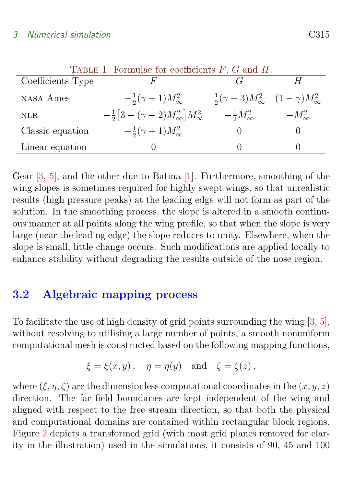<span id="page-5-2"></span>

| Coefficients Type |                                                      |                                                              |                 |
|-------------------|------------------------------------------------------|--------------------------------------------------------------|-----------------|
| <b>NASA</b> Ames  | $-\frac{1}{2}(\gamma+1)M_{\infty}^2$                 | $\frac{1}{2}(\gamma-3)M_{\infty}^2$ $(1-\gamma)M_{\infty}^2$ |                 |
| <b>NLR</b>        | $-\frac{1}{2}[3+(\gamma-2)M_{\infty}^2]M_{\infty}^2$ | $-\frac{1}{2}M_{\infty}^2$                                   | $-M_{\infty}^2$ |
| Classic equation  | $-\frac{1}{2}(\gamma+1)M_{\infty}^2$                 |                                                              |                 |
| Linear equation   |                                                      |                                                              |                 |

<span id="page-5-1"></span>Table 1: Formulae for coefficients  $F, G$  and  $H$ 

Gear [\[3,](#page-12-1) [5\]](#page-12-2), and the other due to Batina [\[1\]](#page-12-3). Furthermore, smoothing of the wing slopes is sometimes required for highly swept wings, so that unrealistic results (high pressure peaks) at the leading edge will not form as part of the solution. In the smoothing process, the slope is altered in a smooth continuous manner at all points along the wing profile, so that when the slope is very large (near the leading edge) the slope reduces to unity. Elsewhere, when the slope is small, little change occurs. Such modifications are applied locally to enhance stability without degrading the results outside of the nose region.

### <span id="page-5-0"></span>3.2 Algebraic mapping process

To facilitate the use of high density of grid points surrounding the wing [\[3,](#page-12-1) [5\]](#page-12-2), without resolving to utilising a large number of points, a smooth nonuniform computational mesh is constructed based on the following mapping functions,

$$
\xi = \xi(x, y), \quad \eta = \eta(y) \quad \text{and} \quad \zeta = \zeta(z),
$$

where  $(\xi, \eta, \zeta)$  are the dimensionless computational coordinates in the  $(x, y, z)$ direction. The far field boundaries are kept independent of the wing and aligned with respect to the free stream direction, so that both the physical and computational domains are contained within rectangular block regions. Figure [2](#page-6-1) depicts a transformed grid (with most grid planes removed for clarity in the illustration) used in the simulations, it consists of 90, 45 and 100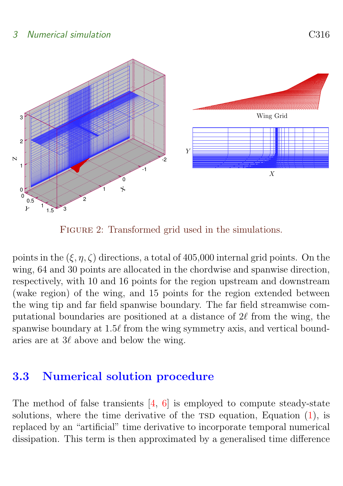<span id="page-6-2"></span>

<span id="page-6-1"></span>FIGURE 2: Transformed grid used in the simulations.

points in the  $(\xi, \eta, \zeta)$  directions, a total of 405,000 internal grid points. On the wing, 64 and 30 points are allocated in the chordwise and spanwise direction, respectively, with 10 and 16 points for the region upstream and downstream (wake region) of the wing, and 15 points for the region extended between the wing tip and far field spanwise boundary. The far field streamwise computational boundaries are positioned at a distance of  $2\ell$  from the wing, the spanwise boundary at  $1.5\ell$  from the wing symmetry axis, and vertical boundaries are at  $3\ell$  above and below the wing.

### <span id="page-6-0"></span>3.3 Numerical solution procedure

The method of false transients  $[4, 6]$  $[4, 6]$  $[4, 6]$  is employed to compute steady-state solutions, where the time derivative of the  $\text{TSD}$  equation, Equation  $(1)$ , is replaced by an "artificial" time derivative to incorporate temporal numerical dissipation. This term is then approximated by a generalised time difference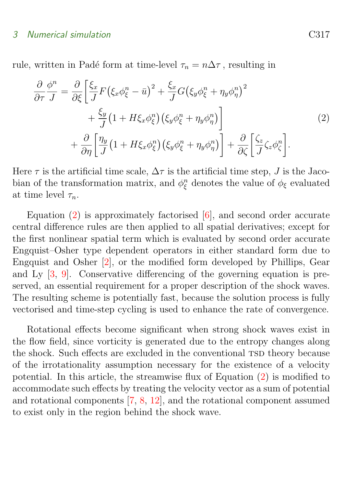<span id="page-7-2"></span>rule, written in Padé form at time-level  $\tau_n = n\Delta\tau$ , resulting in

<span id="page-7-1"></span>
$$
\frac{\partial}{\partial \tau} \frac{\phi^n}{J} = \frac{\partial}{\partial \xi} \left[ \frac{\xi_x}{J} F \left( \xi_x \phi_\xi^n - \bar{u} \right)^2 + \frac{\xi_x}{J} G \left( \xi_y \phi_\xi^n + \eta_y \phi_\eta^n \right)^2 + \frac{\xi_y}{J} \left( 1 + H \xi_x \phi_\xi^n \right) \left( \xi_y \phi_\xi^n + \eta_y \phi_\eta^n \right) \right] + \frac{\partial}{\partial \eta} \left[ \frac{\eta_y}{J} \left( 1 + H \xi_x \phi_\xi^n \right) \left( \xi_y \phi_\xi^n + \eta_y \phi_\eta^n \right) \right] + \frac{\partial}{\partial \zeta} \left[ \frac{\xi_z}{J} \zeta_z \phi_\zeta^n \right].
$$
\n(2)

Here  $\tau$  is the artificial time scale,  $\Delta \tau$  is the artificial time step, J is the Jacobian of the transformation matrix, and  $\phi_{\xi}^{n}$  denotes the value of  $\phi_{\xi}$  evaluated at time level  $\tau_n$ .

Equation  $(2)$  is approximately factorised  $[6]$ , and second order accurate central difference rules are then applied to all spatial derivatives; except for the first nonlinear spatial term which is evaluated by second order accurate Engquist–Osher type dependent operators in either standard form due to Engquist and Osher [\[2\]](#page-12-5), or the modified form developed by Phillips, Gear and Ly [\[3,](#page-12-1) [9\]](#page-13-5). Conservative differencing of the governing equation is preserved, an essential requirement for a proper description of the shock waves. The resulting scheme is potentially fast, because the solution process is fully vectorised and time-step cycling is used to enhance the rate of convergence.

<span id="page-7-0"></span>Rotational effects become significant when strong shock waves exist in the flow field, since vorticity is generated due to the entropy changes along the shock. Such effects are excluded in the conventional TSD theory because of the irrotationality assumption necessary for the existence of a velocity potential. In this article, the streamwise flux of Equation [\(2\)](#page-7-1) is modified to accommodate such effects by treating the velocity vector as a sum of potential and rotational components [\[7,](#page-13-1) [8,](#page-13-2) [12\]](#page-14-0), and the rotational component assumed to exist only in the region behind the shock wave.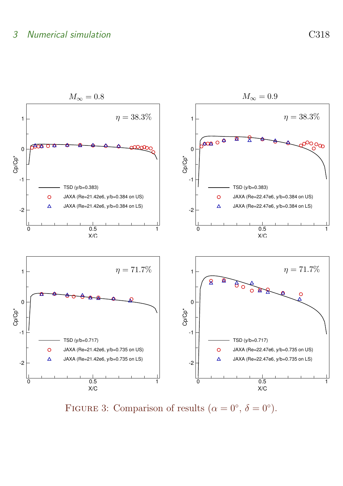

<span id="page-8-0"></span>FIGURE 3: Comparison of results  $(\alpha = 0^{\circ}, \delta = 0^{\circ}).$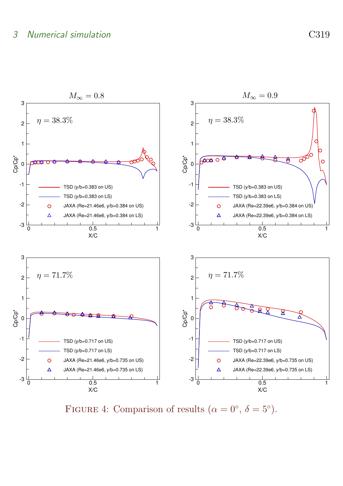

<span id="page-9-0"></span>FIGURE 4: Comparison of results  $(\alpha = 0^{\circ}, \delta = 5^{\circ}).$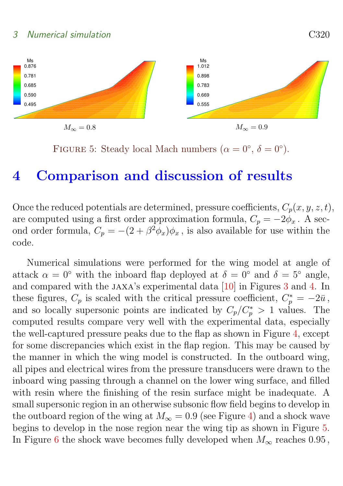<span id="page-10-1"></span>

<span id="page-10-0"></span>FIGURE 5: Steady local Mach numbers ( $\alpha = 0^{\circ}$ ,  $\delta = 0^{\circ}$ ).

# 4 Comparison and discussion of results

Once the reduced potentials are determined, pressure coefficients,  $C_p(x, y, z, t)$ , are computed using a first order approximation formula,  $C_p = -2\phi_x$ . A second order formula,  $C_p = -(2 + \beta^2 \phi_x)\phi_x$ , is also available for use within the code.

Numerical simulations were performed for the wing model at angle of attack  $\alpha = 0^{\circ}$  with the inboard flap deployed at  $\delta = 0^{\circ}$  and  $\delta = 5^{\circ}$  angle, and compared with the jaxa's experimental data [\[10\]](#page-13-0) in Figures [3](#page-8-0) and [4.](#page-9-0) In these figures,  $C_p$  is scaled with the critical pressure coefficient,  $C_p^* = -2\bar{u}$ , and so locally supersonic points are indicated by  $C_p/C_p^* > 1$  values. The computed results compare very well with the experimental data, especially the well-captured pressure peaks due to the flap as shown in Figure [4,](#page-9-0) except for some discrepancies which exist in the flap region. This may be caused by the manner in which the wing model is constructed. In the outboard wing, all pipes and electrical wires from the pressure transducers were drawn to the inboard wing passing through a channel on the lower wing surface, and filled with resin where the finishing of the resin surface might be inadequate. A small supersonic region in an otherwise subsonic flow field begins to develop in the outboard region of the wing at  $M_{\infty} = 0.9$  (see Figure [4\)](#page-9-0) and a shock wave begins to develop in the nose region near the wing tip as shown in Figure [5.](#page-10-0) In Figure [6](#page-11-1) the shock wave becomes fully developed when  $M_{\infty}$  reaches 0.95,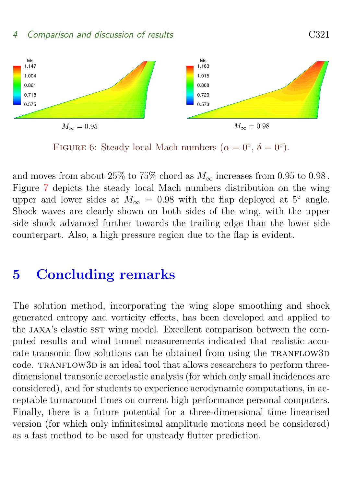



<span id="page-11-1"></span>FIGURE 6: Steady local Mach numbers  $(\alpha = 0^{\circ}, \delta = 0^{\circ}).$ 

and moves from about 25% to 75% chord as  $M_{\infty}$  increases from 0.95 to 0.98. Figure [7](#page-12-6) depicts the steady local Mach numbers distribution on the wing upper and lower sides at  $M_{\infty} = 0.98$  with the flap deployed at 5° angle. Shock waves are clearly shown on both sides of the wing, with the upper side shock advanced further towards the trailing edge than the lower side counterpart. Also, a high pressure region due to the flap is evident.

### <span id="page-11-0"></span>5 Concluding remarks

The solution method, incorporating the wing slope smoothing and shock generated entropy and vorticity effects, has been developed and applied to the JAXA's elastic SST wing model. Excellent comparison between the computed results and wind tunnel measurements indicated that realistic accurate transonic flow solutions can be obtained from using the TRANFLOW3D code. TRANFLOW3D is an ideal tool that allows researchers to perform threedimensional transonic aeroelastic analysis (for which only small incidences are considered), and for students to experience aerodynamic computations, in acceptable turnaround times on current high performance personal computers. Finally, there is a future potential for a three-dimensional time linearised version (for which only infinitesimal amplitude motions need be considered) as a fast method to be used for unsteady flutter prediction.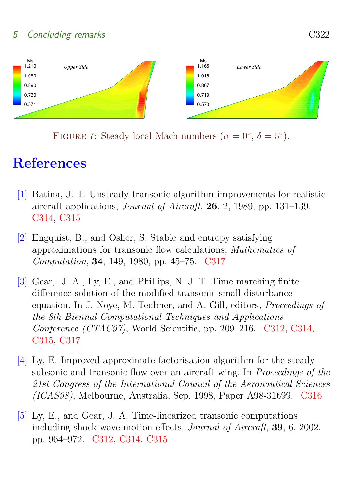### 5 Concluding remarks C322



<span id="page-12-6"></span>FIGURE 7: Steady local Mach numbers ( $\alpha = 0^{\circ}$ ,  $\delta = 5^{\circ}$ ).

# **References**

- <span id="page-12-3"></span><span id="page-12-0"></span>[1] Batina, J. T. Unsteady transonic algorithm improvements for realistic aircraft applications, Journal of Aircraft, 26, 2, 1989, pp. 131–139. [C314,](#page-4-3) [C315](#page-5-2)
- <span id="page-12-5"></span>[2] Engquist, B., and Osher, S. Stable and entropy satisfying approximations for transonic flow calculations, Mathematics of Computation, 34, 149, 1980, pp. 45–75. [C317](#page-7-2)
- <span id="page-12-1"></span>[3] Gear, J. A., Ly, E., and Phillips, N. J. T. Time marching finite difference solution of the modified transonic small disturbance equation. In J. Noye, M. Teubner, and A. Gill, editors, Proceedings of the 8th Biennal Computational Techniques and Applications Conference (CTAC97), World Scientific, pp. 209–216. [C312,](#page-2-1) [C314,](#page-4-3) [C315,](#page-5-2) [C317](#page-7-2)
- <span id="page-12-4"></span>[4] Ly, E. Improved approximate factorisation algorithm for the steady subsonic and transonic flow over an aircraft wing. In Proceedings of the 21st Congress of the International Council of the Aeronautical Sciences (ICAS98), Melbourne, Australia, Sep. 1998, Paper A98-31699. [C316](#page-6-2)
- <span id="page-12-2"></span>[5] Ly, E., and Gear, J. A. Time-linearized transonic computations including shock wave motion effects, Journal of Aircraft, 39, 6, 2002, pp. 964–972. [C312,](#page-2-1) [C314,](#page-4-3) [C315](#page-5-2)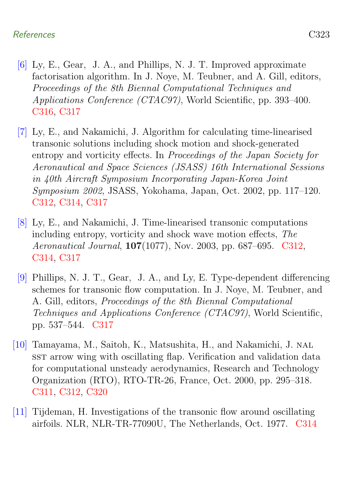#### References C323

- <span id="page-13-4"></span>[6] Ly, E., Gear, J. A., and Phillips, N. J. T. Improved approximate factorisation algorithm. In J. Noye, M. Teubner, and A. Gill, editors, Proceedings of the 8th Biennal Computational Techniques and Applications Conference (CTAC97), World Scientific, pp. 393–400. [C316,](#page-6-2) [C317](#page-7-2)
- <span id="page-13-1"></span>[7] Ly, E., and Nakamichi, J. Algorithm for calculating time-linearised transonic solutions including shock motion and shock-generated entropy and vorticity effects. In Proceedings of the Japan Society for Aeronautical and Space Sciences (JSASS) 16th International Sessions in 40th Aircraft Symposium Incorporating Japan-Korea Joint Symposium 2002, JSASS, Yokohama, Japan, Oct. 2002, pp. 117–120. [C312,](#page-2-1) [C314,](#page-4-3) [C317](#page-7-2)
- <span id="page-13-2"></span>[8] Ly, E., and Nakamichi, J. Time-linearised transonic computations including entropy, vorticity and shock wave motion effects, The Aeronautical Journal, 107(1077), Nov. 2003, pp. 687–695. [C312,](#page-2-1) [C314,](#page-4-3) [C317](#page-7-2)
- <span id="page-13-5"></span>[9] Phillips, N. J. T., Gear, J. A., and Ly, E. Type-dependent differencing schemes for transonic flow computation. In J. Noye, M. Teubner, and A. Gill, editors, Proceedings of the 8th Biennal Computational Techniques and Applications Conference (CTAC97), World Scientific, pp. 537–544. [C317](#page-7-2)
- <span id="page-13-0"></span>[10] Tamayama, M., Saitoh, K., Matsushita, H., and Nakamichi, J. nal sst arrow wing with oscillating flap. Verification and validation data for computational unsteady aerodynamics, Research and Technology Organization (RTO), RTO-TR-26, France, Oct. 2000, pp. 295–318. [C311,](#page-1-1) [C312,](#page-2-1) [C320](#page-10-1)
- <span id="page-13-3"></span>[11] Tijdeman, H. Investigations of the transonic flow around oscillating airfoils. NLR, NLR-TR-77090U, The Netherlands, Oct. 1977. [C314](#page-4-3)